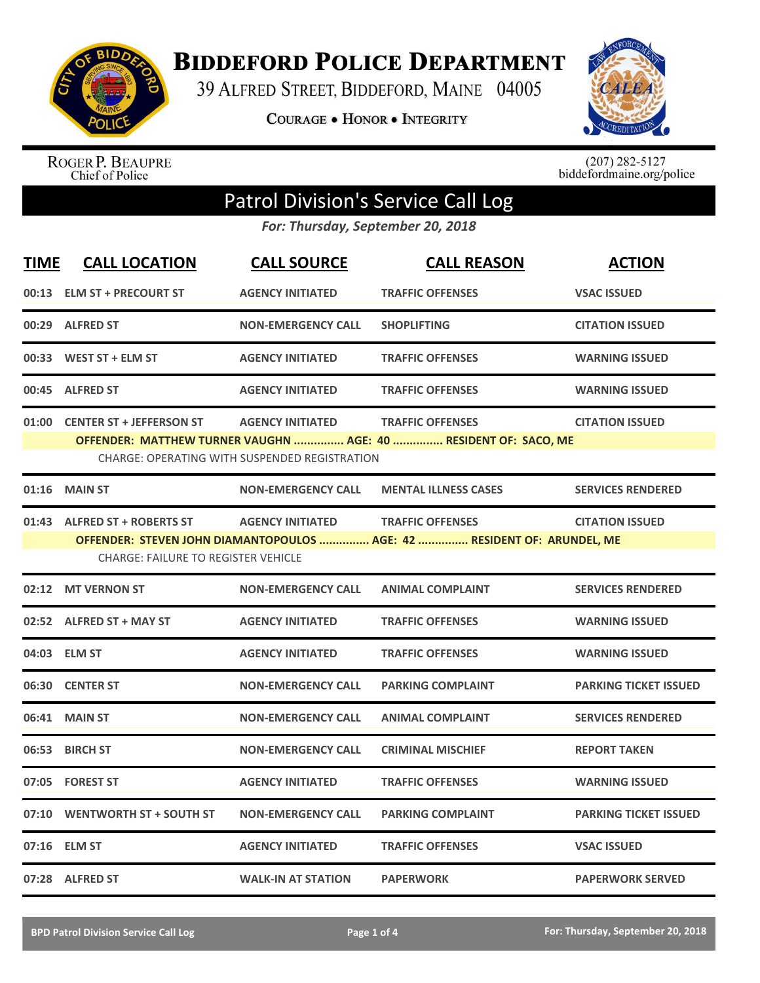

**BIDDEFORD POLICE DEPARTMENT** 

39 ALFRED STREET, BIDDEFORD, MAINE 04005

**COURAGE . HONOR . INTEGRITY** 



ROGER P. BEAUPRE<br>Chief of Police

 $(207)$  282-5127<br>biddefordmaine.org/police

## Patrol Division's Service Call Log

*For: Thursday, September 20, 2018*

| <b>TIME</b> | <b>CALL LOCATION</b>                       | <b>CALL SOURCE</b>                                   | <b>CALL REASON</b>                                                      | <b>ACTION</b>                |
|-------------|--------------------------------------------|------------------------------------------------------|-------------------------------------------------------------------------|------------------------------|
| 00:13       | <b>ELM ST + PRECOURT ST</b>                | <b>AGENCY INITIATED</b>                              | <b>TRAFFIC OFFENSES</b>                                                 | <b>VSAC ISSUED</b>           |
| 00:29       | <b>ALFRED ST</b>                           | <b>NON-EMERGENCY CALL</b>                            | <b>SHOPLIFTING</b>                                                      | <b>CITATION ISSUED</b>       |
| 00:33       | <b>WEST ST + ELM ST</b>                    | <b>AGENCY INITIATED</b>                              | <b>TRAFFIC OFFENSES</b>                                                 | <b>WARNING ISSUED</b>        |
| 00:45       | <b>ALFRED ST</b>                           | <b>AGENCY INITIATED</b>                              | <b>TRAFFIC OFFENSES</b>                                                 | <b>WARNING ISSUED</b>        |
|             | 01:00 CENTER ST + JEFFERSON ST             | <b>AGENCY INITIATED</b>                              | <b>TRAFFIC OFFENSES</b>                                                 | <b>CITATION ISSUED</b>       |
|             |                                            |                                                      | OFFENDER: MATTHEW TURNER VAUGHN  AGE: 40  RESIDENT OF: SACO, ME         |                              |
|             |                                            | <b>CHARGE: OPERATING WITH SUSPENDED REGISTRATION</b> |                                                                         |                              |
| 01:16       | <b>MAIN ST</b>                             | <b>NON-EMERGENCY CALL</b>                            | <b>MENTAL ILLNESS CASES</b>                                             | <b>SERVICES RENDERED</b>     |
|             | 01:43 ALFRED ST + ROBERTS ST               | <b>AGENCY INITIATED</b>                              | <b>TRAFFIC OFFENSES</b>                                                 | <b>CITATION ISSUED</b>       |
|             | <b>CHARGE: FAILURE TO REGISTER VEHICLE</b> |                                                      | OFFENDER: STEVEN JOHN DIAMANTOPOULOS  AGE: 42  RESIDENT OF: ARUNDEL, ME |                              |
|             |                                            |                                                      |                                                                         |                              |
| 02:12       | <b>MT VERNON ST</b>                        | <b>NON-EMERGENCY CALL</b>                            | <b>ANIMAL COMPLAINT</b>                                                 | <b>SERVICES RENDERED</b>     |
|             | 02:52 ALFRED ST + MAY ST                   | <b>AGENCY INITIATED</b>                              | <b>TRAFFIC OFFENSES</b>                                                 | <b>WARNING ISSUED</b>        |
|             | 04:03 ELM ST                               | <b>AGENCY INITIATED</b>                              | <b>TRAFFIC OFFENSES</b>                                                 | <b>WARNING ISSUED</b>        |
| 06:30       | <b>CENTER ST</b>                           | <b>NON-EMERGENCY CALL</b>                            | <b>PARKING COMPLAINT</b>                                                | <b>PARKING TICKET ISSUED</b> |
| 06:41       | <b>MAIN ST</b>                             | <b>NON-EMERGENCY CALL</b>                            | <b>ANIMAL COMPLAINT</b>                                                 | <b>SERVICES RENDERED</b>     |
| 06:53       | <b>BIRCH ST</b>                            | <b>NON-EMERGENCY CALL</b>                            | <b>CRIMINAL MISCHIEF</b>                                                | <b>REPORT TAKEN</b>          |
| 07:05       | <b>FOREST ST</b>                           | <b>AGENCY INITIATED</b>                              | <b>TRAFFIC OFFENSES</b>                                                 | <b>WARNING ISSUED</b>        |
| 07:10       | <b>WENTWORTH ST + SOUTH ST</b>             | <b>NON-EMERGENCY CALL</b>                            | <b>PARKING COMPLAINT</b>                                                | <b>PARKING TICKET ISSUED</b> |
| 07:16       | <b>ELM ST</b>                              | <b>AGENCY INITIATED</b>                              | <b>TRAFFIC OFFENSES</b>                                                 | <b>VSAC ISSUED</b>           |
|             | 07:28 ALFRED ST                            | <b>WALK-IN AT STATION</b>                            | <b>PAPERWORK</b>                                                        | <b>PAPERWORK SERVED</b>      |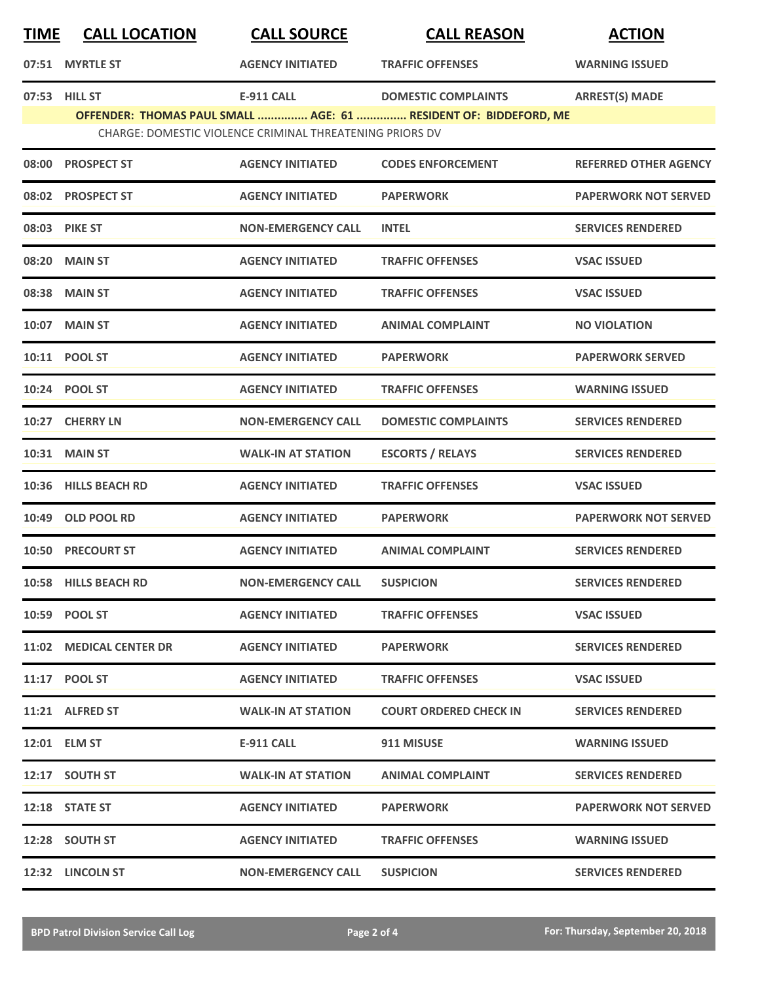| <u>TIME</u> | <b>CALL LOCATION</b>     | <b>CALL SOURCE</b>                                       | <b>CALL REASON</b>                                               | <b>ACTION</b>                |
|-------------|--------------------------|----------------------------------------------------------|------------------------------------------------------------------|------------------------------|
|             | 07:51 MYRTLE ST          | <b>AGENCY INITIATED</b>                                  | <b>TRAFFIC OFFENSES</b>                                          | <b>WARNING ISSUED</b>        |
|             | 07:53 HILL ST            | E-911 CALL                                               | <b>DOMESTIC COMPLAINTS</b>                                       | <b>ARREST(S) MADE</b>        |
|             |                          | CHARGE: DOMESTIC VIOLENCE CRIMINAL THREATENING PRIORS DV | OFFENDER: THOMAS PAUL SMALL  AGE: 61  RESIDENT OF: BIDDEFORD, ME |                              |
| 08:00       | <b>PROSPECT ST</b>       | <b>AGENCY INITIATED</b>                                  | <b>CODES ENFORCEMENT</b>                                         | <b>REFERRED OTHER AGENCY</b> |
|             | 08:02 PROSPECT ST        | <b>AGENCY INITIATED</b>                                  | <b>PAPERWORK</b>                                                 | <b>PAPERWORK NOT SERVED</b>  |
|             | 08:03 PIKE ST            | <b>NON-EMERGENCY CALL</b>                                | <b>INTEL</b>                                                     | <b>SERVICES RENDERED</b>     |
| 08:20       | <b>MAIN ST</b>           | <b>AGENCY INITIATED</b>                                  | <b>TRAFFIC OFFENSES</b>                                          | <b>VSAC ISSUED</b>           |
|             | 08:38 MAIN ST            | <b>AGENCY INITIATED</b>                                  | <b>TRAFFIC OFFENSES</b>                                          | <b>VSAC ISSUED</b>           |
| 10:07       | <b>MAIN ST</b>           | <b>AGENCY INITIATED</b>                                  | <b>ANIMAL COMPLAINT</b>                                          | <b>NO VIOLATION</b>          |
|             | 10:11 POOL ST            | <b>AGENCY INITIATED</b>                                  | <b>PAPERWORK</b>                                                 | <b>PAPERWORK SERVED</b>      |
|             | 10:24 POOL ST            | <b>AGENCY INITIATED</b>                                  | <b>TRAFFIC OFFENSES</b>                                          | <b>WARNING ISSUED</b>        |
|             | 10:27 CHERRY LN          | <b>NON-EMERGENCY CALL</b>                                | <b>DOMESTIC COMPLAINTS</b>                                       | <b>SERVICES RENDERED</b>     |
|             | <b>10:31 MAIN ST</b>     | <b>WALK-IN AT STATION</b>                                | <b>ESCORTS / RELAYS</b>                                          | <b>SERVICES RENDERED</b>     |
| 10:36       | <b>HILLS BEACH RD</b>    | <b>AGENCY INITIATED</b>                                  | <b>TRAFFIC OFFENSES</b>                                          | <b>VSAC ISSUED</b>           |
| 10:49       | <b>OLD POOL RD</b>       | <b>AGENCY INITIATED</b>                                  | <b>PAPERWORK</b>                                                 | <b>PAPERWORK NOT SERVED</b>  |
|             | <b>10:50 PRECOURT ST</b> | <b>AGENCY INITIATED</b>                                  | <b>ANIMAL COMPLAINT</b>                                          | <b>SERVICES RENDERED</b>     |
|             | 10:58 HILLS BEACH RD     | <b>NON-EMERGENCY CALL</b>                                | <b>SUSPICION</b>                                                 | <b>SERVICES RENDERED</b>     |
|             | 10:59 POOL ST            | <b>AGENCY INITIATED</b>                                  | <b>TRAFFIC OFFENSES</b>                                          | <b>VSAC ISSUED</b>           |
|             | 11:02 MEDICAL CENTER DR  | <b>AGENCY INITIATED</b>                                  | <b>PAPERWORK</b>                                                 | <b>SERVICES RENDERED</b>     |
|             | 11:17 POOL ST            | <b>AGENCY INITIATED</b>                                  | <b>TRAFFIC OFFENSES</b>                                          | <b>VSAC ISSUED</b>           |
|             | 11:21 ALFRED ST          | <b>WALK-IN AT STATION</b>                                | <b>COURT ORDERED CHECK IN</b>                                    | <b>SERVICES RENDERED</b>     |
|             | 12:01 ELM ST             | <b>E-911 CALL</b>                                        | 911 MISUSE                                                       | <b>WARNING ISSUED</b>        |
|             | 12:17 SOUTH ST           | <b>WALK-IN AT STATION</b>                                | <b>ANIMAL COMPLAINT</b>                                          | <b>SERVICES RENDERED</b>     |
|             | 12:18 STATE ST           | <b>AGENCY INITIATED</b>                                  | <b>PAPERWORK</b>                                                 | <b>PAPERWORK NOT SERVED</b>  |
|             | 12:28 SOUTH ST           | <b>AGENCY INITIATED</b>                                  | <b>TRAFFIC OFFENSES</b>                                          | <b>WARNING ISSUED</b>        |
|             | 12:32 LINCOLN ST         | <b>NON-EMERGENCY CALL</b>                                | <b>SUSPICION</b>                                                 | <b>SERVICES RENDERED</b>     |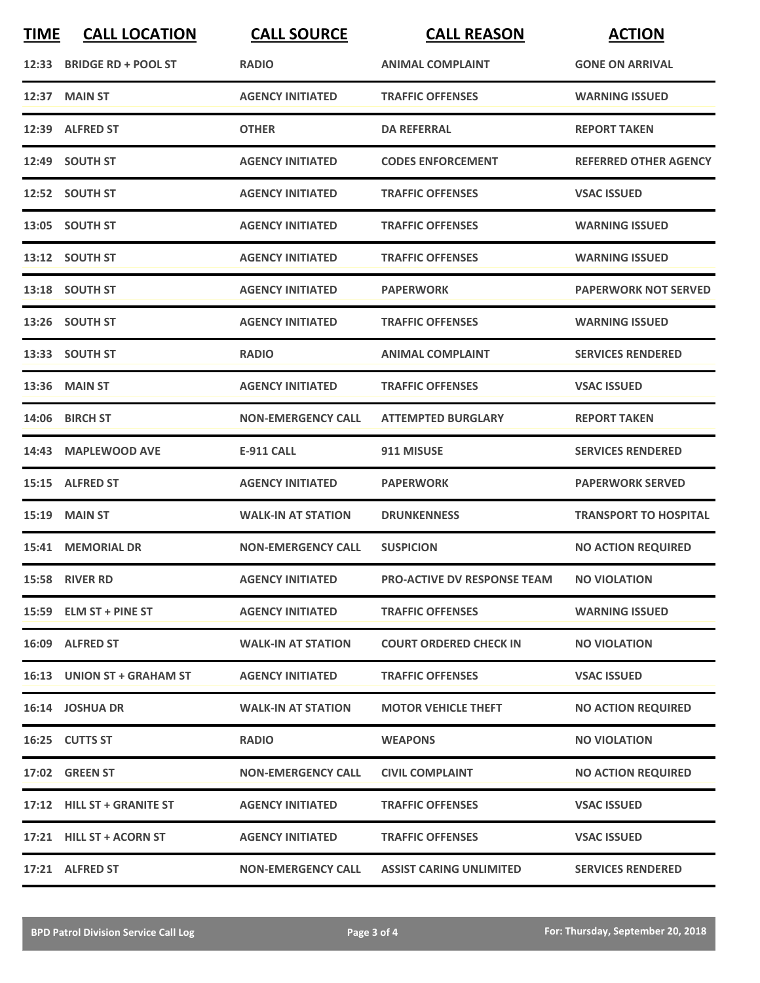| <b>TIME</b> | <b>CALL LOCATION</b>       | <b>CALL SOURCE</b>        | <b>CALL REASON</b>             | <b>ACTION</b>                |
|-------------|----------------------------|---------------------------|--------------------------------|------------------------------|
|             | 12:33 BRIDGE RD + POOL ST  | <b>RADIO</b>              | <b>ANIMAL COMPLAINT</b>        | <b>GONE ON ARRIVAL</b>       |
|             | 12:37 MAIN ST              | <b>AGENCY INITIATED</b>   | <b>TRAFFIC OFFENSES</b>        | <b>WARNING ISSUED</b>        |
|             | 12:39 ALFRED ST            | <b>OTHER</b>              | <b>DA REFERRAL</b>             | <b>REPORT TAKEN</b>          |
|             | 12:49 SOUTH ST             | <b>AGENCY INITIATED</b>   | <b>CODES ENFORCEMENT</b>       | <b>REFERRED OTHER AGENCY</b> |
|             | 12:52 SOUTH ST             | <b>AGENCY INITIATED</b>   | <b>TRAFFIC OFFENSES</b>        | <b>VSAC ISSUED</b>           |
|             | 13:05 SOUTH ST             | <b>AGENCY INITIATED</b>   | <b>TRAFFIC OFFENSES</b>        | <b>WARNING ISSUED</b>        |
|             | 13:12 SOUTH ST             | <b>AGENCY INITIATED</b>   | <b>TRAFFIC OFFENSES</b>        | <b>WARNING ISSUED</b>        |
|             | 13:18 SOUTH ST             | <b>AGENCY INITIATED</b>   | <b>PAPERWORK</b>               | <b>PAPERWORK NOT SERVED</b>  |
|             | 13:26 SOUTH ST             | <b>AGENCY INITIATED</b>   | <b>TRAFFIC OFFENSES</b>        | <b>WARNING ISSUED</b>        |
|             | 13:33 SOUTH ST             | <b>RADIO</b>              | <b>ANIMAL COMPLAINT</b>        | <b>SERVICES RENDERED</b>     |
|             | <b>13:36 MAIN ST</b>       | <b>AGENCY INITIATED</b>   | <b>TRAFFIC OFFENSES</b>        | <b>VSAC ISSUED</b>           |
|             | 14:06 BIRCH ST             | <b>NON-EMERGENCY CALL</b> | <b>ATTEMPTED BURGLARY</b>      | <b>REPORT TAKEN</b>          |
| 14:43       | <b>MAPLEWOOD AVE</b>       | <b>E-911 CALL</b>         | 911 MISUSE                     | <b>SERVICES RENDERED</b>     |
| 15:15       | <b>ALFRED ST</b>           | <b>AGENCY INITIATED</b>   | <b>PAPERWORK</b>               | <b>PAPERWORK SERVED</b>      |
| 15:19       | <b>MAIN ST</b>             | <b>WALK-IN AT STATION</b> | <b>DRUNKENNESS</b>             | <b>TRANSPORT TO HOSPITAL</b> |
|             | 15:41 MEMORIAL DR          | <b>NON-EMERGENCY CALL</b> | <b>SUSPICION</b>               | <b>NO ACTION REQUIRED</b>    |
|             | 15:58 RIVER RD             | <b>AGENCY INITIATED</b>   | PRO-ACTIVE DV RESPONSE TEAM    | <b>NO VIOLATION</b>          |
|             | 15:59 ELM ST + PINE ST     | <b>AGENCY INITIATED</b>   | <b>TRAFFIC OFFENSES</b>        | <b>WARNING ISSUED</b>        |
|             | 16:09 ALFRED ST            | <b>WALK-IN AT STATION</b> | <b>COURT ORDERED CHECK IN</b>  | <b>NO VIOLATION</b>          |
|             | 16:13 UNION ST + GRAHAM ST | <b>AGENCY INITIATED</b>   | <b>TRAFFIC OFFENSES</b>        | <b>VSAC ISSUED</b>           |
|             | 16:14 JOSHUA DR            | <b>WALK-IN AT STATION</b> | <b>MOTOR VEHICLE THEFT</b>     | <b>NO ACTION REQUIRED</b>    |
|             | 16:25 CUTTS ST             | <b>RADIO</b>              | <b>WEAPONS</b>                 | <b>NO VIOLATION</b>          |
|             | <b>17:02 GREEN ST</b>      | <b>NON-EMERGENCY CALL</b> | <b>CIVIL COMPLAINT</b>         | <b>NO ACTION REQUIRED</b>    |
|             | 17:12 HILL ST + GRANITE ST | <b>AGENCY INITIATED</b>   | <b>TRAFFIC OFFENSES</b>        | <b>VSAC ISSUED</b>           |
|             | 17:21 HILL ST + ACORN ST   | <b>AGENCY INITIATED</b>   | <b>TRAFFIC OFFENSES</b>        | <b>VSAC ISSUED</b>           |
|             | 17:21 ALFRED ST            | <b>NON-EMERGENCY CALL</b> | <b>ASSIST CARING UNLIMITED</b> | <b>SERVICES RENDERED</b>     |